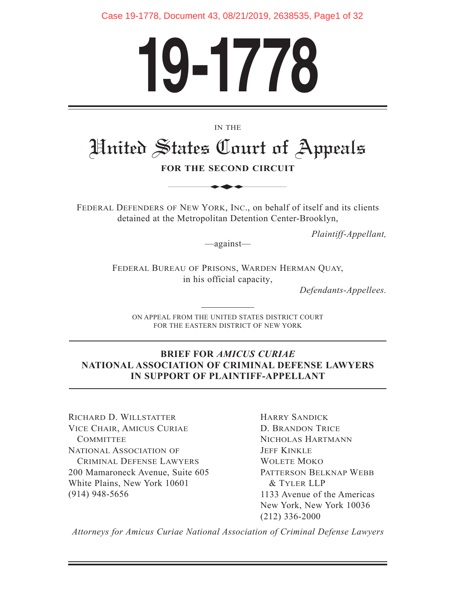Case 19-1778, Document 43, 08/21/2019, 2638535, Page1 of 32

# **19-1778**

#### IN THE

# United States Court of Appeals IN THE<br>
STATES (Lourt of<br>
OR THE SECOND CIRCUI<br>
OF NEW YORK, INC., on behal

**FOR THE SECOND CIRCUIT**

FEDERAL DEFENDERS OF NEW YORK, INC., on behalf of itself and its clients detained at the Metropolitan Detention Center-Brooklyn,

*Plaintiff-Appellant,*

—against—

FEDERAL BUREAU OF PRISONS, WARDEN HERMAN QUAY, in his official capacity,

*Defendants-Appellees.*

ON APPEAL FROM THE UNITED STATES DISTRICT COURT FOR THE EASTERN DISTRICT OF NEW YORK

#### **BRIEF FOR** *AMICUS CURIAE* **NATIONAL ASSOCIATION OF CRIMINAL DEFENSE LAWYERS IN SUPPORT OF PLAINTIFF-APPELLANT**

RICHARD D. WILLSTATTER VICE CHAIR, AMICUS CURIAE **COMMITTEE** NATIONAL ASSOCIATION OF CRIMINAL DEFENSE LAWYERS 200 Mamaroneck Avenue, Suite 605 White Plains, New York 10601 (914) 948-5656

HARRY SANDICK D. BRANDON TRICE NICHOLAS HARTMANN **JEFF KINKLE** WOLETE MOKO PATTERSON BELKNAP WEBB & TYLER LLP 1133 Avenue of the Americas New York, New York 10036 (212) 336-2000

*Attorneys for Amicus Curiae National Association of Criminal Defense Lawyers*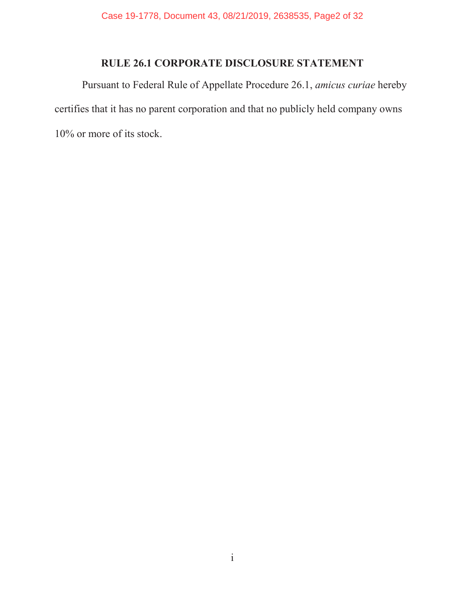#### **RULE 26.1 CORPORATE DISCLOSURE STATEMENT**

Pursuant to Federal Rule of Appellate Procedure 26.1, *amicus curiae* hereby certifies that it has no parent corporation and that no publicly held company owns 10% or more of its stock.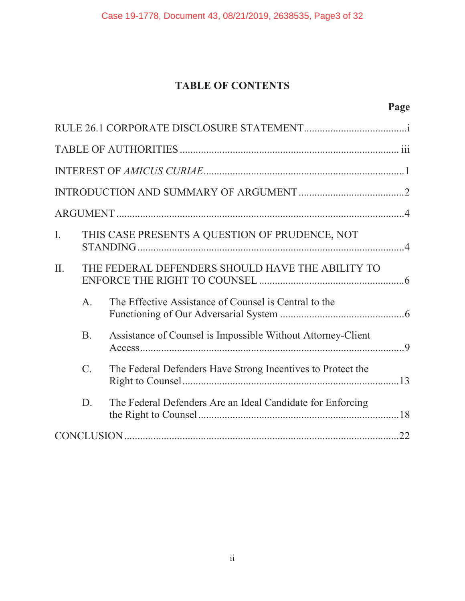## **TABLE OF CONTENTS**

| $\mathbf{I}$ . |                  | THIS CASE PRESENTS A QUESTION OF PRUDENCE, NOT              |  |  |
|----------------|------------------|-------------------------------------------------------------|--|--|
| $\Pi$ .        |                  | THE FEDERAL DEFENDERS SHOULD HAVE THE ABILITY TO            |  |  |
|                | $A_{\cdot}$      | The Effective Assistance of Counsel is Central to the       |  |  |
|                | B <sub>1</sub>   | Assistance of Counsel is Impossible Without Attorney-Client |  |  |
|                | $\overline{C}$ . | The Federal Defenders Have Strong Incentives to Protect the |  |  |
|                | D.               | The Federal Defenders Are an Ideal Candidate for Enforcing  |  |  |
|                |                  |                                                             |  |  |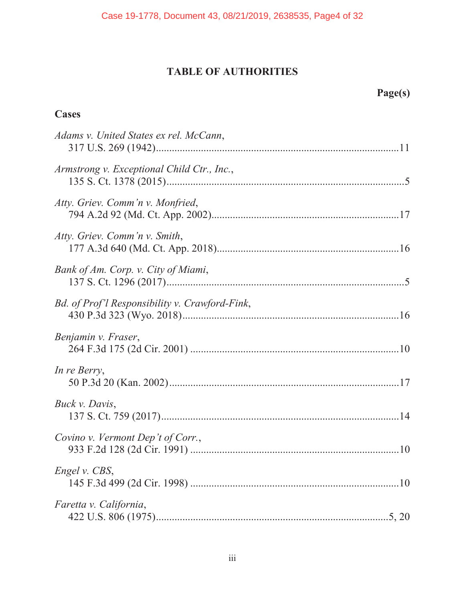#### **TABLE OF AUTHORITIES**

# **Page(s)**

## **Cases**

| Adams v. United States ex rel. McCann,         |  |
|------------------------------------------------|--|
| Armstrong v. Exceptional Child Ctr., Inc.,     |  |
| Atty. Griev. Comm'n v. Monfried,               |  |
| Atty. Griev. Comm'n v. Smith,                  |  |
| Bank of Am. Corp. v. City of Miami,            |  |
| Bd. of Prof'l Responsibility v. Crawford-Fink, |  |
| Benjamin v. Fraser,                            |  |
| In re Berry,                                   |  |
| Buck v. Davis,                                 |  |
| Covino v. Vermont Dep't of Corr.,              |  |
| Engel v. CBS,                                  |  |
| Faretta v. California,                         |  |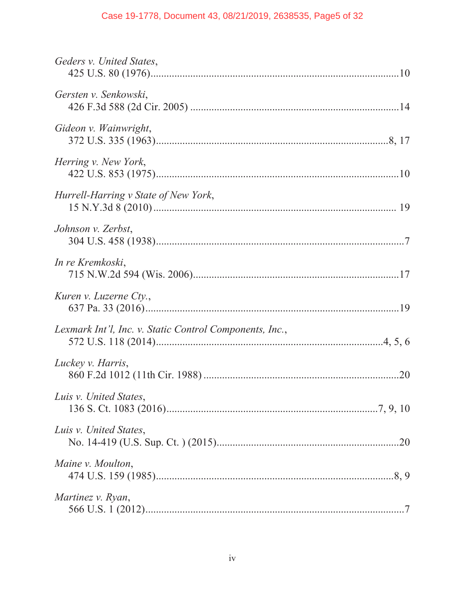#### Case 19-1778, Document 43, 08/21/2019, 2638535, Page5 of 32

| Geders v. United States,                                |  |
|---------------------------------------------------------|--|
| Gersten v. Senkowski,                                   |  |
| Gideon v. Wainwright,                                   |  |
| Herring v. New York,                                    |  |
| Hurrell-Harring v State of New York,                    |  |
| Johnson v. Zerbst,                                      |  |
| In re Kremkoski,                                        |  |
| Kuren v. Luzerne Cty.,                                  |  |
| Lexmark Int'l, Inc. v. Static Control Components, Inc., |  |
| Luckey v. Harris,                                       |  |
| Luis v. United States,                                  |  |
| Luis v. United States,                                  |  |
| Maine v. Moulton,                                       |  |
| Martinez v. Ryan,                                       |  |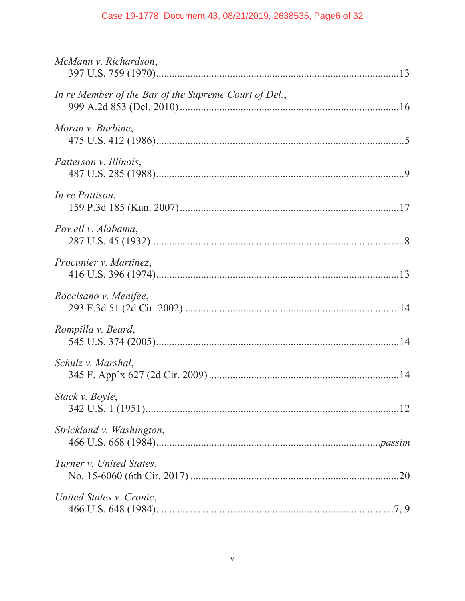#### Case 19-1778, Document 43, 08/21/2019, 2638535, Page6 of 32

| McMann v. Richardson,                                 |  |
|-------------------------------------------------------|--|
| In re Member of the Bar of the Supreme Court of Del., |  |
| Moran v. Burbine,                                     |  |
| Patterson v. Illinois,                                |  |
| In re Pattison,                                       |  |
| Powell v. Alabama,                                    |  |
| Procunier v. Martinez,                                |  |
| Roccisano v. Menifee,                                 |  |
| Rompilla v. Beard,                                    |  |
| Schulz v. Marshal,                                    |  |
| Stack v. Boyle,                                       |  |
| Strickland v. Washington,                             |  |
| Turner v. United States,                              |  |
| United States v. Cronic,                              |  |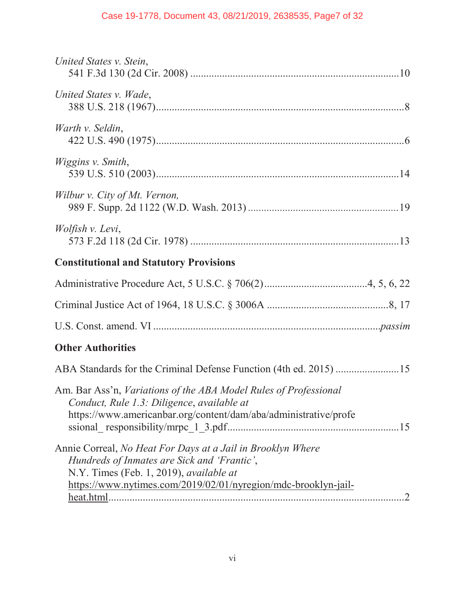| United States v. Stein,                                                                                                                                                                                                                                 |
|---------------------------------------------------------------------------------------------------------------------------------------------------------------------------------------------------------------------------------------------------------|
| United States v. Wade,                                                                                                                                                                                                                                  |
| Warth v. Seldin,                                                                                                                                                                                                                                        |
| Wiggins v. Smith,                                                                                                                                                                                                                                       |
| Wilbur v. City of Mt. Vernon,                                                                                                                                                                                                                           |
| Wolfish v. Levi,                                                                                                                                                                                                                                        |
| <b>Constitutional and Statutory Provisions</b>                                                                                                                                                                                                          |
|                                                                                                                                                                                                                                                         |
|                                                                                                                                                                                                                                                         |
|                                                                                                                                                                                                                                                         |
| <b>Other Authorities</b>                                                                                                                                                                                                                                |
| ABA Standards for the Criminal Defense Function (4th ed. 2015) 15                                                                                                                                                                                       |
| Am. Bar Ass'n, Variations of the ABA Model Rules of Professional<br>Conduct, Rule 1.3: Diligence, available at<br>https://www.americanbar.org/content/dam/aba/administrative/profe<br>15                                                                |
| Annie Correal, No Heat For Days at a Jail in Brooklyn Where<br>Hundreds of Inmates are Sick and 'Frantic',<br>N.Y. Times (Feb. 1, 2019), available at<br>https://www.nytimes.com/2019/02/01/nyregion/mdc-brooklyn-jail-<br>heat.html.<br>$\overline{2}$ |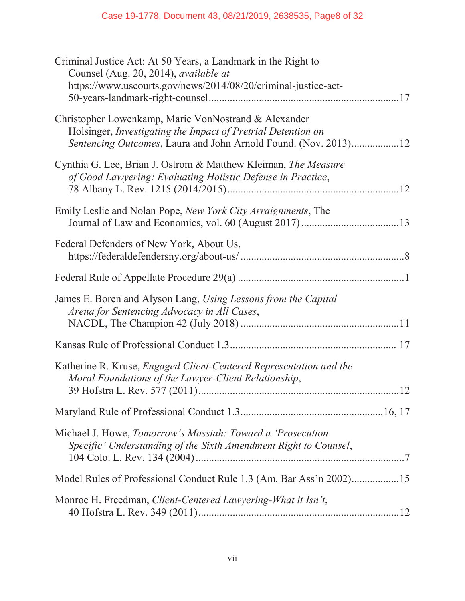| Criminal Justice Act: At 50 Years, a Landmark in the Right to<br>Counsel (Aug. 20, 2014), available at<br>https://www.uscourts.gov/news/2014/08/20/criminal-justice-act-                       |  |
|------------------------------------------------------------------------------------------------------------------------------------------------------------------------------------------------|--|
| Christopher Lowenkamp, Marie VonNostrand & Alexander<br>Holsinger, Investigating the Impact of Pretrial Detention on<br><i>Sentencing Outcomes, Laura and John Arnold Found. (Nov. 2013)12</i> |  |
| Cynthia G. Lee, Brian J. Ostrom & Matthew Kleiman, The Measure<br>of Good Lawyering: Evaluating Holistic Defense in Practice,                                                                  |  |
| Emily Leslie and Nolan Pope, New York City Arraignments, The                                                                                                                                   |  |
| Federal Defenders of New York, About Us,                                                                                                                                                       |  |
|                                                                                                                                                                                                |  |
| James E. Boren and Alyson Lang, Using Lessons from the Capital<br>Arena for Sentencing Advocacy in All Cases,                                                                                  |  |
|                                                                                                                                                                                                |  |
| Katherine R. Kruse, <i>Engaged Client-Centered Representation and the</i><br>Moral Foundations of the Lawyer-Client Relationship,                                                              |  |
|                                                                                                                                                                                                |  |
| Michael J. Howe, Tomorrow's Massiah: Toward a 'Prosecution<br>Specific' Understanding of the Sixth Amendment Right to Counsel,                                                                 |  |
| Model Rules of Professional Conduct Rule 1.3 (Am. Bar Ass'n 2002)15                                                                                                                            |  |
| Monroe H. Freedman, Client-Centered Lawyering-What it Isn't,                                                                                                                                   |  |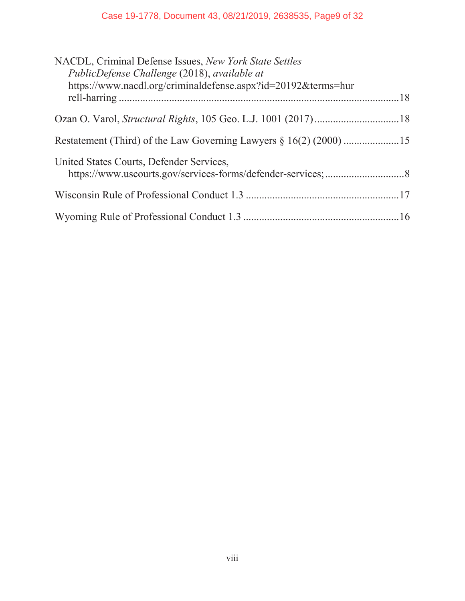#### Case 19-1778, Document 43, 08/21/2019, 2638535, Page9 of 32

| NACDL, Criminal Defense Issues, New York State Settles        |  |
|---------------------------------------------------------------|--|
| PublicDefense Challenge (2018), available at                  |  |
| https://www.nacdl.org/criminaldefense.aspx?id=20192&terms=hur |  |
|                                                               |  |
|                                                               |  |
|                                                               |  |
|                                                               |  |
| United States Courts, Defender Services,                      |  |
|                                                               |  |
|                                                               |  |
|                                                               |  |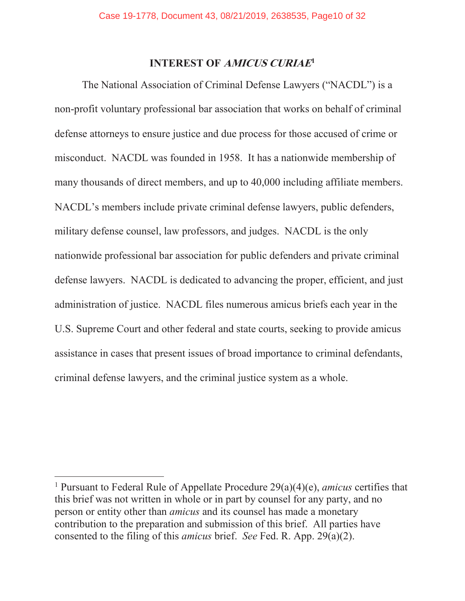#### **INTEREST OF AMICUS CURIAE<sup>1</sup>**

The National Association of Criminal Defense Lawyers ("NACDL") is a non-profit voluntary professional bar association that works on behalf of criminal defense attorneys to ensure justice and due process for those accused of crime or misconduct. NACDL was founded in 1958. It has a nationwide membership of many thousands of direct members, and up to 40,000 including affiliate members. NACDL's members include private criminal defense lawyers, public defenders, military defense counsel, law professors, and judges. NACDL is the only nationwide professional bar association for public defenders and private criminal defense lawyers. NACDL is dedicated to advancing the proper, efficient, and just administration of justice. NACDL files numerous amicus briefs each year in the U.S. Supreme Court and other federal and state courts, seeking to provide amicus assistance in cases that present issues of broad importance to criminal defendants, criminal defense lawyers, and the criminal justice system as a whole.

<sup>1</sup> Pursuant to Federal Rule of Appellate Procedure 29(a)(4)(e), *amicus* certifies that this brief was not written in whole or in part by counsel for any party, and no person or entity other than *amicus* and its counsel has made a monetary contribution to the preparation and submission of this brief. All parties have consented to the filing of this *amicus* brief. *See* Fed. R. App. 29(a)(2).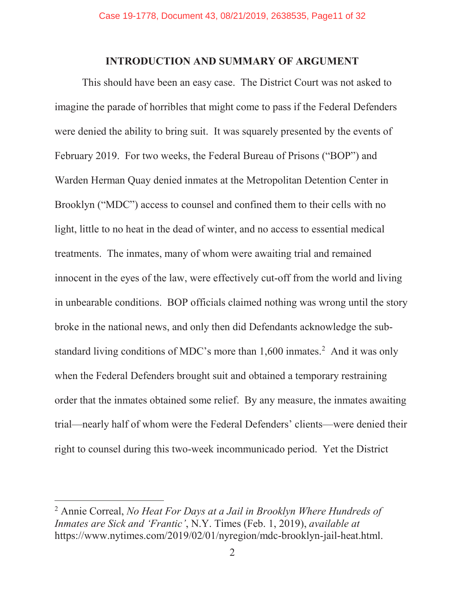#### **INTRODUCTION AND SUMMARY OF ARGUMENT**

This should have been an easy case. The District Court was not asked to imagine the parade of horribles that might come to pass if the Federal Defenders were denied the ability to bring suit. It was squarely presented by the events of February 2019. For two weeks, the Federal Bureau of Prisons ("BOP") and Warden Herman Quay denied inmates at the Metropolitan Detention Center in Brooklyn ("MDC") access to counsel and confined them to their cells with no light, little to no heat in the dead of winter, and no access to essential medical treatments. The inmates, many of whom were awaiting trial and remained innocent in the eyes of the law, were effectively cut-off from the world and living in unbearable conditions. BOP officials claimed nothing was wrong until the story broke in the national news, and only then did Defendants acknowledge the substandard living conditions of MDC's more than  $1,600$  inmates.<sup>2</sup> And it was only when the Federal Defenders brought suit and obtained a temporary restraining order that the inmates obtained some relief. By any measure, the inmates awaiting trial—nearly half of whom were the Federal Defenders' clients—were denied their right to counsel during this two-week incommunicado period. Yet the District

<sup>2</sup> Annie Correal, *No Heat For Days at a Jail in Brooklyn Where Hundreds of Inmates are Sick and 'Frantic'*, N.Y. Times (Feb. 1, 2019), *available at* https://www.nytimes.com/2019/02/01/nyregion/mdc-brooklyn-jail-heat.html.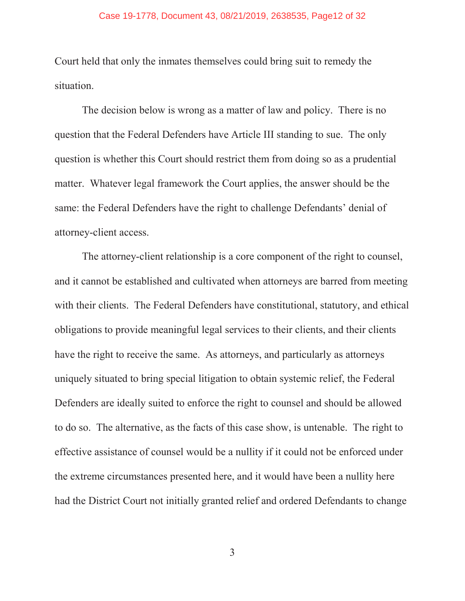Court held that only the inmates themselves could bring suit to remedy the situation.

The decision below is wrong as a matter of law and policy. There is no question that the Federal Defenders have Article III standing to sue. The only question is whether this Court should restrict them from doing so as a prudential matter. Whatever legal framework the Court applies, the answer should be the same: the Federal Defenders have the right to challenge Defendants' denial of attorney-client access.

The attorney-client relationship is a core component of the right to counsel, and it cannot be established and cultivated when attorneys are barred from meeting with their clients. The Federal Defenders have constitutional, statutory, and ethical obligations to provide meaningful legal services to their clients, and their clients have the right to receive the same. As attorneys, and particularly as attorneys uniquely situated to bring special litigation to obtain systemic relief, the Federal Defenders are ideally suited to enforce the right to counsel and should be allowed to do so. The alternative, as the facts of this case show, is untenable. The right to effective assistance of counsel would be a nullity if it could not be enforced under the extreme circumstances presented here, and it would have been a nullity here had the District Court not initially granted relief and ordered Defendants to change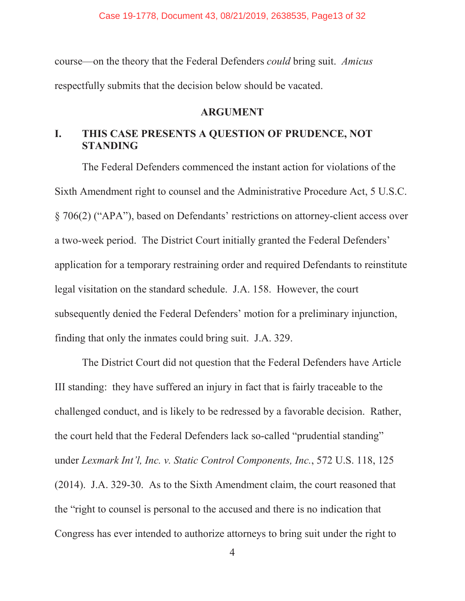course—on the theory that the Federal Defenders *could* bring suit. *Amicus* respectfully submits that the decision below should be vacated.

#### **ARGUMENT**

#### **I. THIS CASE PRESENTS A QUESTION OF PRUDENCE, NOT STANDING**

The Federal Defenders commenced the instant action for violations of the Sixth Amendment right to counsel and the Administrative Procedure Act, 5 U.S.C. § 706(2) ("APA"), based on Defendants' restrictions on attorney-client access over a two-week period. The District Court initially granted the Federal Defenders' application for a temporary restraining order and required Defendants to reinstitute legal visitation on the standard schedule. J.A. 158. However, the court subsequently denied the Federal Defenders' motion for a preliminary injunction, finding that only the inmates could bring suit. J.A. 329.

The District Court did not question that the Federal Defenders have Article III standing: they have suffered an injury in fact that is fairly traceable to the challenged conduct, and is likely to be redressed by a favorable decision. Rather, the court held that the Federal Defenders lack so-called "prudential standing" under *Lexmark Int'l, Inc. v. Static Control Components, Inc.*, 572 U.S. 118, 125 (2014). J.A. 329-30. As to the Sixth Amendment claim, the court reasoned that the "right to counsel is personal to the accused and there is no indication that Congress has ever intended to authorize attorneys to bring suit under the right to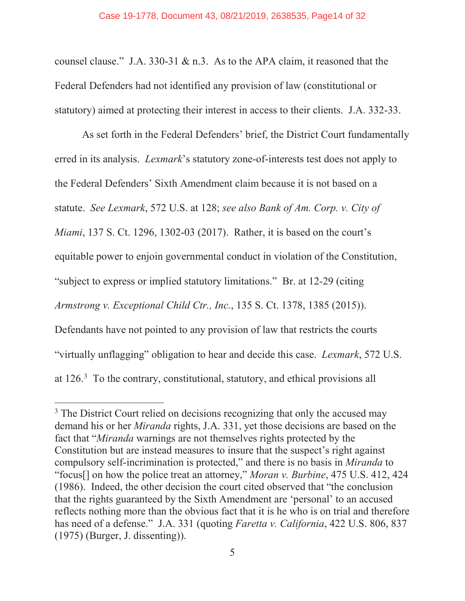counsel clause." J.A. 330-31 & n.3. As to the APA claim, it reasoned that the Federal Defenders had not identified any provision of law (constitutional or statutory) aimed at protecting their interest in access to their clients. J.A. 332-33.

As set forth in the Federal Defenders' brief, the District Court fundamentally erred in its analysis. *Lexmark*'s statutory zone-of-interests test does not apply to the Federal Defenders' Sixth Amendment claim because it is not based on a statute. *See Lexmark*, 572 U.S. at 128; *see also Bank of Am. Corp. v. City of Miami*, 137 S. Ct. 1296, 1302-03 (2017). Rather, it is based on the court's equitable power to enjoin governmental conduct in violation of the Constitution, "subject to express or implied statutory limitations." Br. at 12-29 (citing *Armstrong v. Exceptional Child Ctr., Inc.*, 135 S. Ct. 1378, 1385 (2015)). Defendants have not pointed to any provision of law that restricts the courts "virtually unflagging" obligation to hear and decide this case. *Lexmark*, 572 U.S. at 126.3 To the contrary, constitutional, statutory, and ethical provisions all

<sup>&</sup>lt;sup>3</sup> The District Court relied on decisions recognizing that only the accused may demand his or her *Miranda* rights, J.A. 331, yet those decisions are based on the fact that "*Miranda* warnings are not themselves rights protected by the Constitution but are instead measures to insure that the suspect's right against compulsory self-incrimination is protected," and there is no basis in *Miranda* to "focus[] on how the police treat an attorney," *Moran v. Burbine*, 475 U.S. 412, 424 (1986). Indeed, the other decision the court cited observed that "the conclusion that the rights guaranteed by the Sixth Amendment are 'personal' to an accused reflects nothing more than the obvious fact that it is he who is on trial and therefore has need of a defense." J.A. 331 (quoting *Faretta v. California*, 422 U.S. 806, 837 (1975) (Burger, J. dissenting)).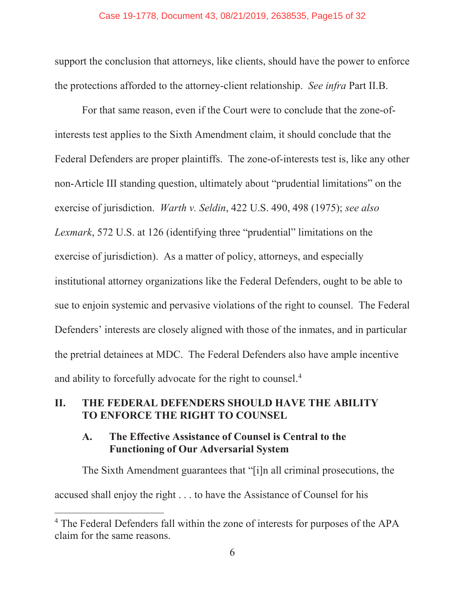support the conclusion that attorneys, like clients, should have the power to enforce the protections afforded to the attorney-client relationship. *See infra* Part II.B.

For that same reason, even if the Court were to conclude that the zone-ofinterests test applies to the Sixth Amendment claim, it should conclude that the Federal Defenders are proper plaintiffs. The zone-of-interests test is, like any other non-Article III standing question, ultimately about "prudential limitations" on the exercise of jurisdiction. *Warth v. Seldin*, 422 U.S. 490, 498 (1975); *see also Lexmark*, 572 U.S. at 126 (identifying three "prudential" limitations on the exercise of jurisdiction). As a matter of policy, attorneys, and especially institutional attorney organizations like the Federal Defenders, ought to be able to sue to enjoin systemic and pervasive violations of the right to counsel. The Federal Defenders' interests are closely aligned with those of the inmates, and in particular the pretrial detainees at MDC. The Federal Defenders also have ample incentive and ability to forcefully advocate for the right to counsel.<sup>4</sup>

#### **II. THE FEDERAL DEFENDERS SHOULD HAVE THE ABILITY TO ENFORCE THE RIGHT TO COUNSEL**

#### **A. The Effective Assistance of Counsel is Central to the Functioning of Our Adversarial System**

The Sixth Amendment guarantees that "[i]n all criminal prosecutions, the accused shall enjoy the right . . . to have the Assistance of Counsel for his

<sup>&</sup>lt;sup>4</sup> The Federal Defenders fall within the zone of interests for purposes of the APA claim for the same reasons.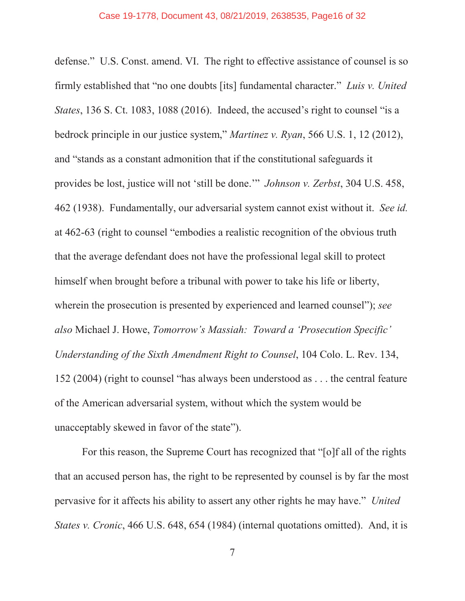defense." U.S. Const. amend. VI. The right to effective assistance of counsel is so firmly established that "no one doubts [its] fundamental character." *Luis v. United States*, 136 S. Ct. 1083, 1088 (2016). Indeed, the accused's right to counsel "is a bedrock principle in our justice system," *Martinez v. Ryan*, 566 U.S. 1, 12 (2012), and "stands as a constant admonition that if the constitutional safeguards it provides be lost, justice will not 'still be done.'" *Johnson v. Zerbst*, 304 U.S. 458, 462 (1938). Fundamentally, our adversarial system cannot exist without it. *See id.* at 462-63 (right to counsel "embodies a realistic recognition of the obvious truth that the average defendant does not have the professional legal skill to protect himself when brought before a tribunal with power to take his life or liberty, wherein the prosecution is presented by experienced and learned counsel"); *see also* Michael J. Howe, *Tomorrow's Massiah: Toward a 'Prosecution Specific' Understanding of the Sixth Amendment Right to Counsel*, 104 Colo. L. Rev. 134, 152 (2004) (right to counsel "has always been understood as . . . the central feature of the American adversarial system, without which the system would be unacceptably skewed in favor of the state").

For this reason, the Supreme Court has recognized that "[o]f all of the rights that an accused person has, the right to be represented by counsel is by far the most pervasive for it affects his ability to assert any other rights he may have." *United States v. Cronic*, 466 U.S. 648, 654 (1984) (internal quotations omitted). And, it is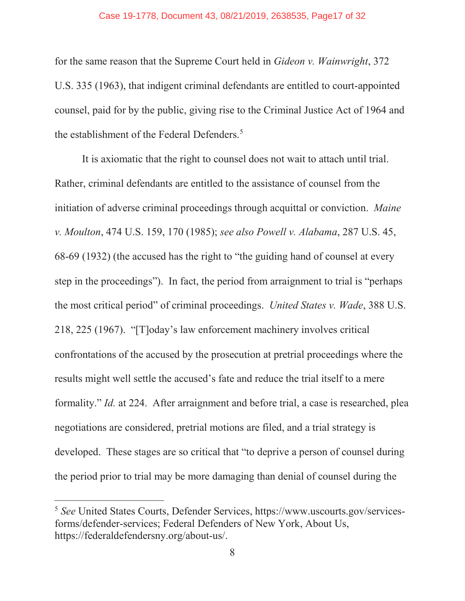#### Case 19-1778, Document 43, 08/21/2019, 2638535, Page17 of 32

for the same reason that the Supreme Court held in *Gideon v. Wainwright*, 372 U.S. 335 (1963), that indigent criminal defendants are entitled to court-appointed counsel, paid for by the public, giving rise to the Criminal Justice Act of 1964 and the establishment of the Federal Defenders.<sup>5</sup>

It is axiomatic that the right to counsel does not wait to attach until trial. Rather, criminal defendants are entitled to the assistance of counsel from the initiation of adverse criminal proceedings through acquittal or conviction. *Maine v. Moulton*, 474 U.S. 159, 170 (1985); *see also Powell v. Alabama*, 287 U.S. 45, 68-69 (1932) (the accused has the right to "the guiding hand of counsel at every step in the proceedings"). In fact, the period from arraignment to trial is "perhaps the most critical period" of criminal proceedings. *United States v. Wade*, 388 U.S. 218, 225 (1967). "[T]oday's law enforcement machinery involves critical confrontations of the accused by the prosecution at pretrial proceedings where the results might well settle the accused's fate and reduce the trial itself to a mere formality." *Id.* at 224. After arraignment and before trial, a case is researched, plea negotiations are considered, pretrial motions are filed, and a trial strategy is developed. These stages are so critical that "to deprive a person of counsel during the period prior to trial may be more damaging than denial of counsel during the

<sup>5</sup> *See* United States Courts, Defender Services, https://www.uscourts.gov/servicesforms/defender-services; Federal Defenders of New York, About Us, https://federaldefendersny.org/about-us/.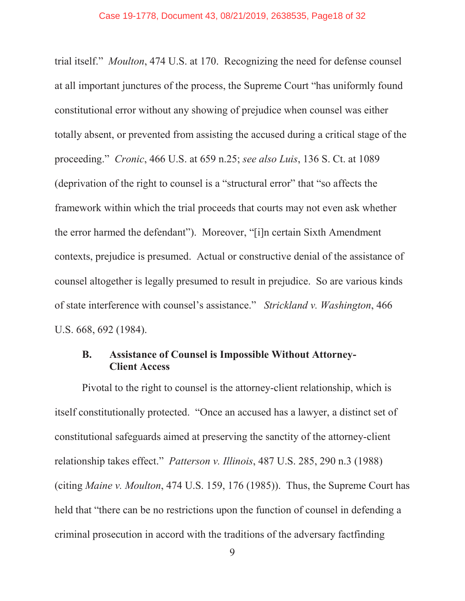trial itself." *Moulton*, 474 U.S. at 170. Recognizing the need for defense counsel at all important junctures of the process, the Supreme Court "has uniformly found constitutional error without any showing of prejudice when counsel was either totally absent, or prevented from assisting the accused during a critical stage of the proceeding." *Cronic*, 466 U.S. at 659 n.25; *see also Luis*, 136 S. Ct. at 1089 (deprivation of the right to counsel is a "structural error" that "so affects the framework within which the trial proceeds that courts may not even ask whether the error harmed the defendant"). Moreover, "[i]n certain Sixth Amendment contexts, prejudice is presumed. Actual or constructive denial of the assistance of counsel altogether is legally presumed to result in prejudice. So are various kinds of state interference with counsel's assistance." *Strickland v. Washington*, 466 U.S. 668, 692 (1984).

#### **B. Assistance of Counsel is Impossible Without Attorney-Client Access**

Pivotal to the right to counsel is the attorney-client relationship, which is itself constitutionally protected. "Once an accused has a lawyer, a distinct set of constitutional safeguards aimed at preserving the sanctity of the attorney-client relationship takes effect." *Patterson v. Illinois*, 487 U.S. 285, 290 n.3 (1988) (citing *Maine v. Moulton*, 474 U.S. 159, 176 (1985)). Thus, the Supreme Court has held that "there can be no restrictions upon the function of counsel in defending a criminal prosecution in accord with the traditions of the adversary factfinding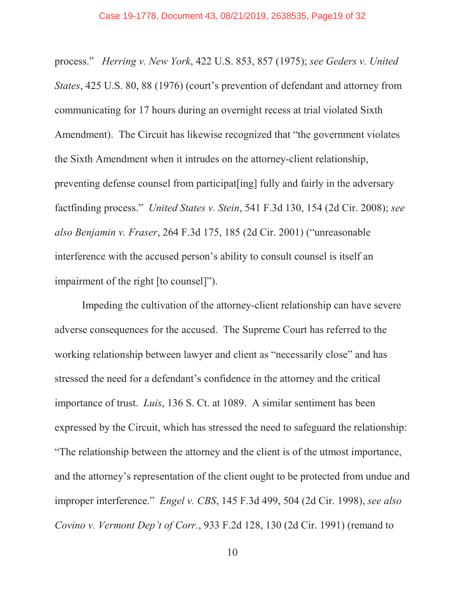process." *Herring v. New York*, 422 U.S. 853, 857 (1975); *see Geders v. United States*, 425 U.S. 80, 88 (1976) (court's prevention of defendant and attorney from communicating for 17 hours during an overnight recess at trial violated Sixth Amendment). The Circuit has likewise recognized that "the government violates the Sixth Amendment when it intrudes on the attorney-client relationship, preventing defense counsel from participat[ing] fully and fairly in the adversary factfinding process." *United States v. Stein*, 541 F.3d 130, 154 (2d Cir. 2008); *see also Benjamin v. Fraser*, 264 F.3d 175, 185 (2d Cir. 2001) ("unreasonable interference with the accused person's ability to consult counsel is itself an impairment of the right [to counsel]").

Impeding the cultivation of the attorney-client relationship can have severe adverse consequences for the accused. The Supreme Court has referred to the working relationship between lawyer and client as "necessarily close" and has stressed the need for a defendant's confidence in the attorney and the critical importance of trust. *Luis*, 136 S. Ct. at 1089. A similar sentiment has been expressed by the Circuit, which has stressed the need to safeguard the relationship: "The relationship between the attorney and the client is of the utmost importance, and the attorney's representation of the client ought to be protected from undue and improper interference." *Engel v. CBS*, 145 F.3d 499, 504 (2d Cir. 1998), *see also Covino v. Vermont Dep't of Corr.*, 933 F.2d 128, 130 (2d Cir. 1991) (remand to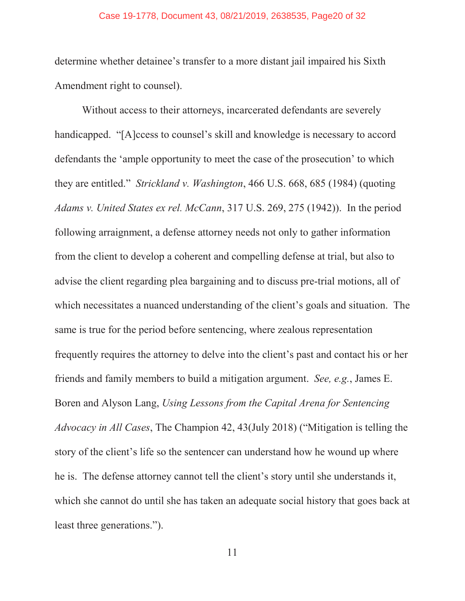#### Case 19-1778, Document 43, 08/21/2019, 2638535, Page20 of 32

determine whether detainee's transfer to a more distant jail impaired his Sixth Amendment right to counsel).

Without access to their attorneys, incarcerated defendants are severely handicapped. "[A]ccess to counsel's skill and knowledge is necessary to accord defendants the 'ample opportunity to meet the case of the prosecution' to which they are entitled." *Strickland v. Washington*, 466 U.S. 668, 685 (1984) (quoting *Adams v. United States ex rel. McCann*, 317 U.S. 269, 275 (1942)). In the period following arraignment, a defense attorney needs not only to gather information from the client to develop a coherent and compelling defense at trial, but also to advise the client regarding plea bargaining and to discuss pre-trial motions, all of which necessitates a nuanced understanding of the client's goals and situation. The same is true for the period before sentencing, where zealous representation frequently requires the attorney to delve into the client's past and contact his or her friends and family members to build a mitigation argument. *See, e.g.*, James E. Boren and Alyson Lang, *Using Lessons from the Capital Arena for Sentencing Advocacy in All Cases*, The Champion 42, 43(July 2018) ("Mitigation is telling the story of the client's life so the sentencer can understand how he wound up where he is. The defense attorney cannot tell the client's story until she understands it, which she cannot do until she has taken an adequate social history that goes back at least three generations.").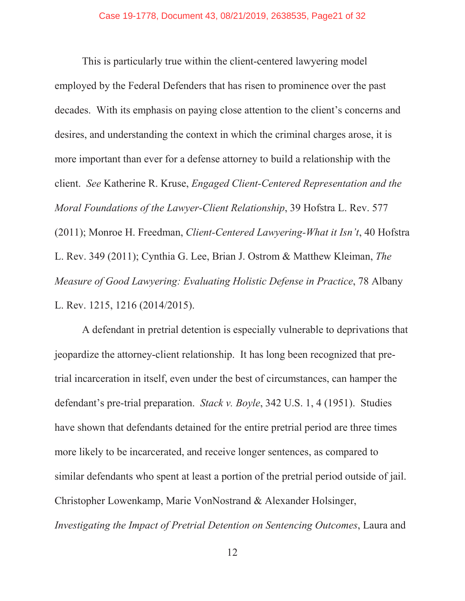This is particularly true within the client-centered lawyering model employed by the Federal Defenders that has risen to prominence over the past decades. With its emphasis on paying close attention to the client's concerns and desires, and understanding the context in which the criminal charges arose, it is more important than ever for a defense attorney to build a relationship with the client. *See* Katherine R. Kruse, *Engaged Client-Centered Representation and the Moral Foundations of the Lawyer-Client Relationship*, 39 Hofstra L. Rev. 577 (2011); Monroe H. Freedman, *Client-Centered Lawyering-What it Isn't*, 40 Hofstra L. Rev. 349 (2011); Cynthia G. Lee, Brian J. Ostrom & Matthew Kleiman, *The Measure of Good Lawyering: Evaluating Holistic Defense in Practice*, 78 Albany L. Rev. 1215, 1216 (2014/2015).

A defendant in pretrial detention is especially vulnerable to deprivations that jeopardize the attorney-client relationship. It has long been recognized that pretrial incarceration in itself, even under the best of circumstances, can hamper the defendant's pre-trial preparation. *Stack v. Boyle*, 342 U.S. 1, 4 (1951). Studies have shown that defendants detained for the entire pretrial period are three times more likely to be incarcerated, and receive longer sentences, as compared to similar defendants who spent at least a portion of the pretrial period outside of jail. Christopher Lowenkamp, Marie VonNostrand & Alexander Holsinger, *Investigating the Impact of Pretrial Detention on Sentencing Outcomes*, Laura and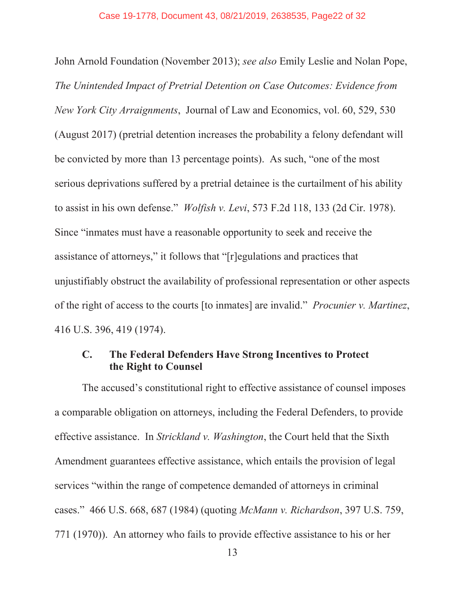John Arnold Foundation (November 2013); *see also* Emily Leslie and Nolan Pope, *The Unintended Impact of Pretrial Detention on Case Outcomes: Evidence from New York City Arraignments*, Journal of Law and Economics, vol. 60, 529, 530 (August 2017) (pretrial detention increases the probability a felony defendant will be convicted by more than 13 percentage points). As such, "one of the most serious deprivations suffered by a pretrial detainee is the curtailment of his ability to assist in his own defense." *Wolfish v. Levi*, 573 F.2d 118, 133 (2d Cir. 1978). Since "inmates must have a reasonable opportunity to seek and receive the assistance of attorneys," it follows that "[r]egulations and practices that unjustifiably obstruct the availability of professional representation or other aspects of the right of access to the courts [to inmates] are invalid." *Procunier v. Martinez*, 416 U.S. 396, 419 (1974).

#### **C. The Federal Defenders Have Strong Incentives to Protect the Right to Counsel**

The accused's constitutional right to effective assistance of counsel imposes a comparable obligation on attorneys, including the Federal Defenders, to provide effective assistance. In *Strickland v. Washington*, the Court held that the Sixth Amendment guarantees effective assistance, which entails the provision of legal services "within the range of competence demanded of attorneys in criminal cases." 466 U.S. 668, 687 (1984) (quoting *McMann v. Richardson*, 397 U.S. 759, 771 (1970)). An attorney who fails to provide effective assistance to his or her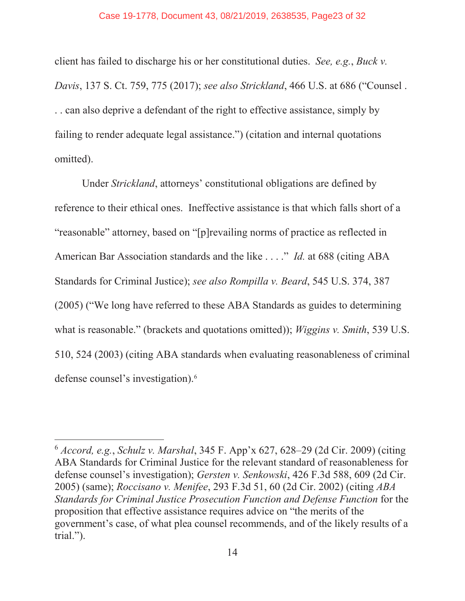client has failed to discharge his or her constitutional duties. *See, e.g.*, *Buck v. Davis*, 137 S. Ct. 759, 775 (2017); *see also Strickland*, 466 U.S. at 686 ("Counsel . . . can also deprive a defendant of the right to effective assistance, simply by failing to render adequate legal assistance.") (citation and internal quotations omitted).

Under *Strickland*, attorneys' constitutional obligations are defined by reference to their ethical ones. Ineffective assistance is that which falls short of a "reasonable" attorney, based on "[p]revailing norms of practice as reflected in American Bar Association standards and the like . . . ." *Id.* at 688 (citing ABA Standards for Criminal Justice); *see also Rompilla v. Beard*, 545 U.S. 374, 387 (2005) ("We long have referred to these ABA Standards as guides to determining what is reasonable." (brackets and quotations omitted)); *Wiggins v. Smith*, 539 U.S. 510, 524 (2003) (citing ABA standards when evaluating reasonableness of criminal defense counsel's investigation).<sup>6</sup>

<sup>6</sup> *Accord, e.g.*, *Schulz v. Marshal*, 345 F. App'x 627, 628–29 (2d Cir. 2009) (citing ABA Standards for Criminal Justice for the relevant standard of reasonableness for defense counsel's investigation); *Gersten v. Senkowski*, 426 F.3d 588, 609 (2d Cir. 2005) (same); *Roccisano v. Menifee*, 293 F.3d 51, 60 (2d Cir. 2002) (citing *ABA Standards for Criminal Justice Prosecution Function and Defense Function* for the proposition that effective assistance requires advice on "the merits of the government's case, of what plea counsel recommends, and of the likely results of a trial.").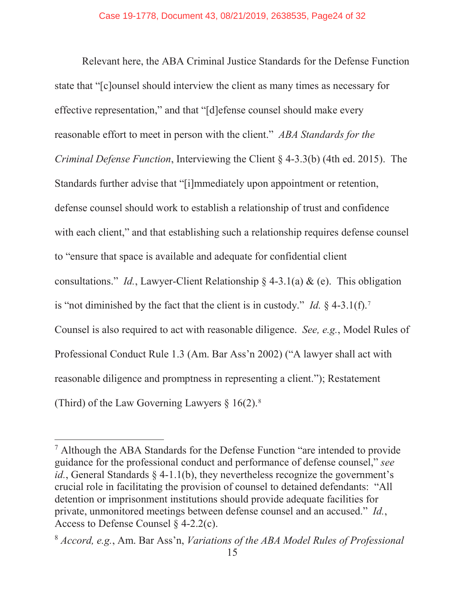Relevant here, the ABA Criminal Justice Standards for the Defense Function state that "[c]ounsel should interview the client as many times as necessary for effective representation," and that "[d]efense counsel should make every reasonable effort to meet in person with the client." *ABA Standards for the Criminal Defense Function*, Interviewing the Client § 4-3.3(b) (4th ed. 2015). The Standards further advise that "[i]mmediately upon appointment or retention, defense counsel should work to establish a relationship of trust and confidence with each client," and that establishing such a relationship requires defense counsel to "ensure that space is available and adequate for confidential client consultations." *Id.*, Lawyer-Client Relationship § 4-3.1(a)  $\&$  (e). This obligation is "not diminished by the fact that the client is in custody." *Id.*  $\S$  4-3.1(f).<sup>7</sup> Counsel is also required to act with reasonable diligence. *See, e.g.*, Model Rules of Professional Conduct Rule 1.3 (Am. Bar Ass'n 2002) ("A lawyer shall act with reasonable diligence and promptness in representing a client."); Restatement (Third) of the Law Governing Lawyers  $\S 16(2)$ .<sup>8</sup>

<sup>&</sup>lt;sup>7</sup> Although the ABA Standards for the Defense Function "are intended to provide" guidance for the professional conduct and performance of defense counsel," *see id.*, General Standards § 4-1.1(b), they nevertheless recognize the government's crucial role in facilitating the provision of counsel to detained defendants: "All detention or imprisonment institutions should provide adequate facilities for private, unmonitored meetings between defense counsel and an accused." *Id.*, Access to Defense Counsel  $\delta$  4-2.2(c).

<sup>8</sup> *Accord, e.g.*, Am. Bar Ass'n, *Variations of the ABA Model Rules of Professional*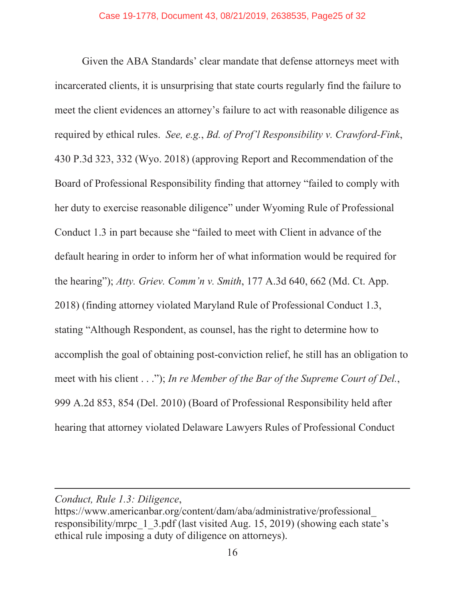Given the ABA Standards' clear mandate that defense attorneys meet with incarcerated clients, it is unsurprising that state courts regularly find the failure to meet the client evidences an attorney's failure to act with reasonable diligence as required by ethical rules. *See, e.g.*, *Bd. of Prof'l Responsibility v. Crawford-Fink*, 430 P.3d 323, 332 (Wyo. 2018) (approving Report and Recommendation of the Board of Professional Responsibility finding that attorney "failed to comply with her duty to exercise reasonable diligence" under Wyoming Rule of Professional Conduct 1.3 in part because she "failed to meet with Client in advance of the default hearing in order to inform her of what information would be required for the hearing"); *Atty. Griev. Comm'n v. Smith*, 177 A.3d 640, 662 (Md. Ct. App. 2018) (finding attorney violated Maryland Rule of Professional Conduct 1.3, stating "Although Respondent, as counsel, has the right to determine how to accomplish the goal of obtaining post-conviction relief, he still has an obligation to meet with his client . . ."); *In re Member of the Bar of the Supreme Court of Del.*, 999 A.2d 853, 854 (Del. 2010) (Board of Professional Responsibility held after hearing that attorney violated Delaware Lawyers Rules of Professional Conduct

*Conduct, Rule 1.3: Diligence*,

https://www.americanbar.org/content/dam/aba/administrative/professional\_ responsibility/mrpc\_1\_3.pdf (last visited Aug. 15, 2019) (showing each state's ethical rule imposing a duty of diligence on attorneys).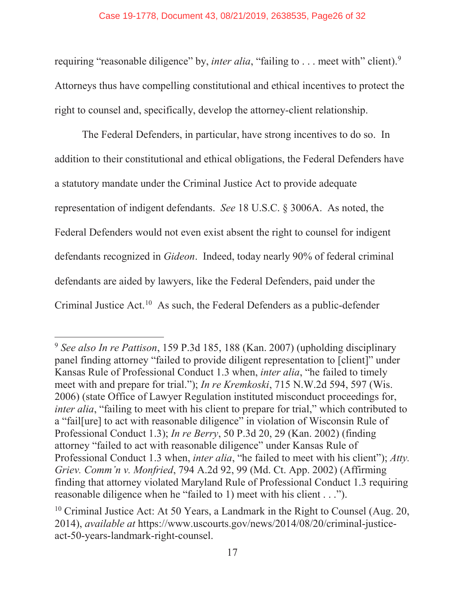requiring "reasonable diligence" by, *inter alia*, "failing to . . . meet with" client).<sup>9</sup> Attorneys thus have compelling constitutional and ethical incentives to protect the right to counsel and, specifically, develop the attorney-client relationship.

The Federal Defenders, in particular, have strong incentives to do so. In addition to their constitutional and ethical obligations, the Federal Defenders have a statutory mandate under the Criminal Justice Act to provide adequate representation of indigent defendants. *See* 18 U.S.C. § 3006A. As noted, the Federal Defenders would not even exist absent the right to counsel for indigent defendants recognized in *Gideon*. Indeed, today nearly 90% of federal criminal defendants are aided by lawyers, like the Federal Defenders, paid under the Criminal Justice Act.<sup>10</sup> As such, the Federal Defenders as a public-defender

<sup>9</sup> *See also In re Pattison*, 159 P.3d 185, 188 (Kan. 2007) (upholding disciplinary panel finding attorney "failed to provide diligent representation to [client]" under Kansas Rule of Professional Conduct 1.3 when, *inter alia*, "he failed to timely meet with and prepare for trial."); *In re Kremkoski*, 715 N.W.2d 594, 597 (Wis. 2006) (state Office of Lawyer Regulation instituted misconduct proceedings for, *inter alia*, "failing to meet with his client to prepare for trial," which contributed to a "fail[ure] to act with reasonable diligence" in violation of Wisconsin Rule of Professional Conduct 1.3); *In re Berry*, 50 P.3d 20, 29 (Kan. 2002) (finding attorney "failed to act with reasonable diligence" under Kansas Rule of Professional Conduct 1.3 when, *inter alia*, "he failed to meet with his client"); *Atty. Griev. Comm'n v. Monfried*, 794 A.2d 92, 99 (Md. Ct. App. 2002) (Affirming finding that attorney violated Maryland Rule of Professional Conduct 1.3 requiring reasonable diligence when he "failed to 1) meet with his client . . .").

<sup>&</sup>lt;sup>10</sup> Criminal Justice Act: At 50 Years, a Landmark in the Right to Counsel (Aug. 20, 2014), *available at* https://www.uscourts.gov/news/2014/08/20/criminal-justiceact-50-years-landmark-right-counsel.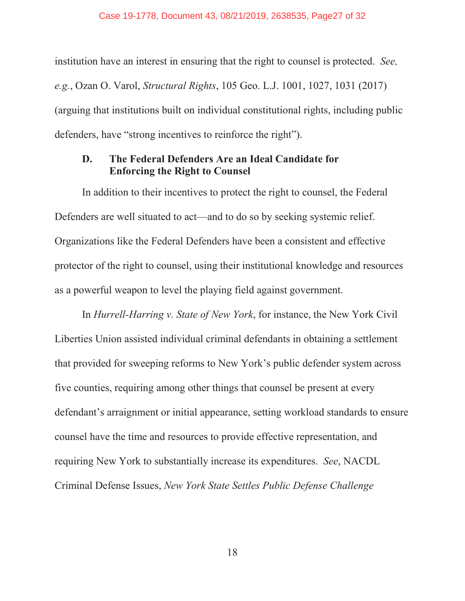institution have an interest in ensuring that the right to counsel is protected. *See, e.g.*, Ozan O. Varol, *Structural Rights*, 105 Geo. L.J. 1001, 1027, 1031 (2017) (arguing that institutions built on individual constitutional rights, including public defenders, have "strong incentives to reinforce the right").

#### **D. The Federal Defenders Are an Ideal Candidate for Enforcing the Right to Counsel**

In addition to their incentives to protect the right to counsel, the Federal Defenders are well situated to act—and to do so by seeking systemic relief. Organizations like the Federal Defenders have been a consistent and effective protector of the right to counsel, using their institutional knowledge and resources as a powerful weapon to level the playing field against government.

In *Hurrell-Harring v. State of New York*, for instance, the New York Civil Liberties Union assisted individual criminal defendants in obtaining a settlement that provided for sweeping reforms to New York's public defender system across five counties, requiring among other things that counsel be present at every defendant's arraignment or initial appearance, setting workload standards to ensure counsel have the time and resources to provide effective representation, and requiring New York to substantially increase its expenditures. *See*, NACDL Criminal Defense Issues, *New York State Settles Public Defense Challenge* 

18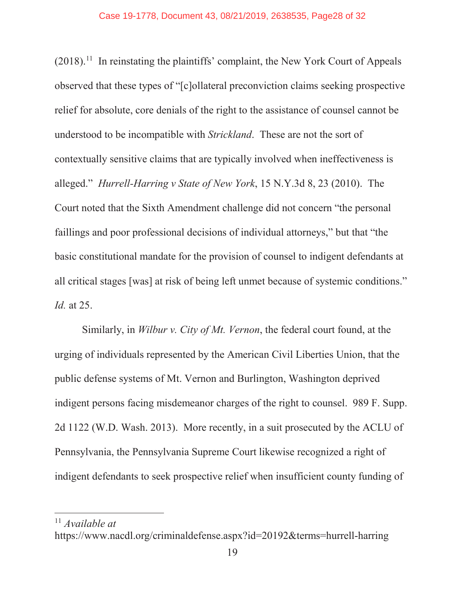$(2018)$ .<sup>11</sup> In reinstating the plaintiffs' complaint, the New York Court of Appeals observed that these types of "[c]ollateral preconviction claims seeking prospective relief for absolute, core denials of the right to the assistance of counsel cannot be understood to be incompatible with *Strickland*. These are not the sort of contextually sensitive claims that are typically involved when ineffectiveness is alleged." *Hurrell-Harring v State of New York*, 15 N.Y.3d 8, 23 (2010). The Court noted that the Sixth Amendment challenge did not concern "the personal faillings and poor professional decisions of individual attorneys," but that "the basic constitutional mandate for the provision of counsel to indigent defendants at all critical stages [was] at risk of being left unmet because of systemic conditions." *Id.* at 25.

Similarly, in *Wilbur v. City of Mt. Vernon*, the federal court found, at the urging of individuals represented by the American Civil Liberties Union, that the public defense systems of Mt. Vernon and Burlington, Washington deprived indigent persons facing misdemeanor charges of the right to counsel. 989 F. Supp. 2d 1122 (W.D. Wash. 2013). More recently, in a suit prosecuted by the ACLU of Pennsylvania, the Pennsylvania Supreme Court likewise recognized a right of indigent defendants to seek prospective relief when insufficient county funding of

<sup>11</sup> *Available at*

https://www.nacdl.org/criminaldefense.aspx?id=20192&terms=hurrell-harring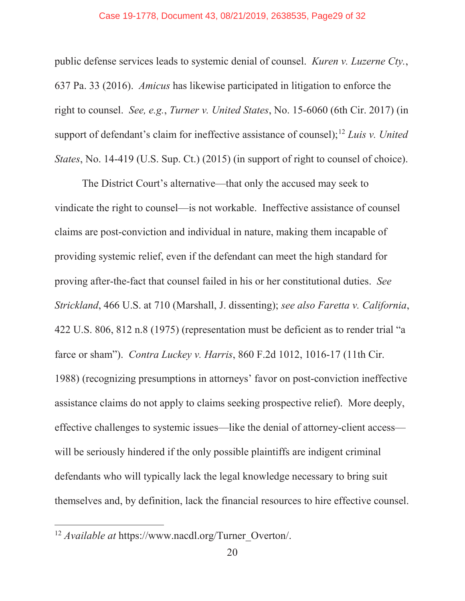#### Case 19-1778, Document 43, 08/21/2019, 2638535, Page29 of 32

public defense services leads to systemic denial of counsel. *Kuren v. Luzerne Cty.*, 637 Pa. 33 (2016). *Amicus* has likewise participated in litigation to enforce the right to counsel. *See, e.g.*, *Turner v. United States*, No. 15-6060 (6th Cir. 2017) (in support of defendant's claim for ineffective assistance of counsel);12 *Luis v. United States*, No. 14-419 (U.S. Sup. Ct.) (2015) (in support of right to counsel of choice).

The District Court's alternative—that only the accused may seek to vindicate the right to counsel—is not workable. Ineffective assistance of counsel claims are post-conviction and individual in nature, making them incapable of providing systemic relief, even if the defendant can meet the high standard for proving after-the-fact that counsel failed in his or her constitutional duties. *See Strickland*, 466 U.S. at 710 (Marshall, J. dissenting); *see also Faretta v. California*, 422 U.S. 806, 812 n.8 (1975) (representation must be deficient as to render trial "a farce or sham"). *Contra Luckey v. Harris*, 860 F.2d 1012, 1016-17 (11th Cir. 1988) (recognizing presumptions in attorneys' favor on post-conviction ineffective assistance claims do not apply to claims seeking prospective relief). More deeply, effective challenges to systemic issues—like the denial of attorney-client access will be seriously hindered if the only possible plaintiffs are indigent criminal defendants who will typically lack the legal knowledge necessary to bring suit themselves and, by definition, lack the financial resources to hire effective counsel.

<sup>12</sup> *Available at* https://www.nacdl.org/Turner\_Overton/.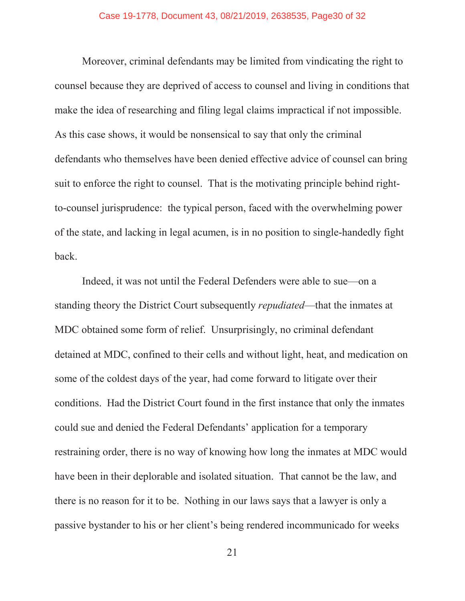Moreover, criminal defendants may be limited from vindicating the right to counsel because they are deprived of access to counsel and living in conditions that make the idea of researching and filing legal claims impractical if not impossible. As this case shows, it would be nonsensical to say that only the criminal defendants who themselves have been denied effective advice of counsel can bring suit to enforce the right to counsel. That is the motivating principle behind rightto-counsel jurisprudence: the typical person, faced with the overwhelming power of the state, and lacking in legal acumen, is in no position to single-handedly fight back.

Indeed, it was not until the Federal Defenders were able to sue—on a standing theory the District Court subsequently *repudiated*—that the inmates at MDC obtained some form of relief. Unsurprisingly, no criminal defendant detained at MDC, confined to their cells and without light, heat, and medication on some of the coldest days of the year, had come forward to litigate over their conditions. Had the District Court found in the first instance that only the inmates could sue and denied the Federal Defendants' application for a temporary restraining order, there is no way of knowing how long the inmates at MDC would have been in their deplorable and isolated situation. That cannot be the law, and there is no reason for it to be. Nothing in our laws says that a lawyer is only a passive bystander to his or her client's being rendered incommunicado for weeks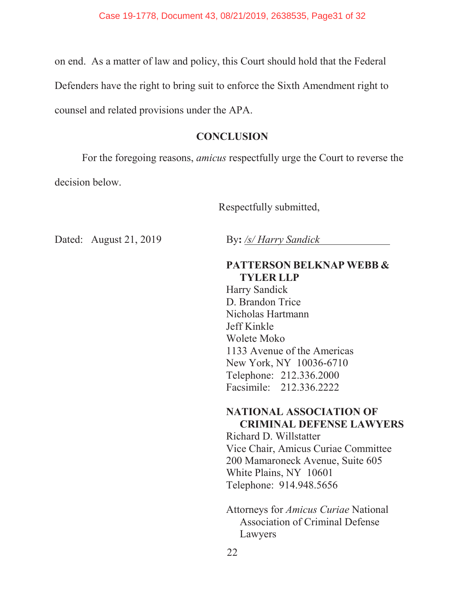on end. As a matter of law and policy, this Court should hold that the Federal Defenders have the right to bring suit to enforce the Sixth Amendment right to counsel and related provisions under the APA.

#### **CONCLUSION**

For the foregoing reasons, *amicus* respectfully urge the Court to reverse the decision below.

Respectfully submitted,

Dated: August 21, 2019 By: /s/ *Harry Sandick* 

#### **PATTERSON BELKNAP WEBB & TYLER LLP**

Harry Sandick D. Brandon Trice Nicholas Hartmann Jeff Kinkle Wolete Moko 1133 Avenue of the Americas New York, NY 10036-6710 Telephone: 212.336.2000 Facsimile: 212.336.2222

#### **NATIONAL ASSOCIATION OF CRIMINAL DEFENSE LAWYERS**

Richard D. Willstatter Vice Chair, Amicus Curiae Committee 200 Mamaroneck Avenue, Suite 605 White Plains, NY 10601 Telephone: 914.948.5656

Attorneys for *Amicus Curiae* National Association of Criminal Defense Lawyers